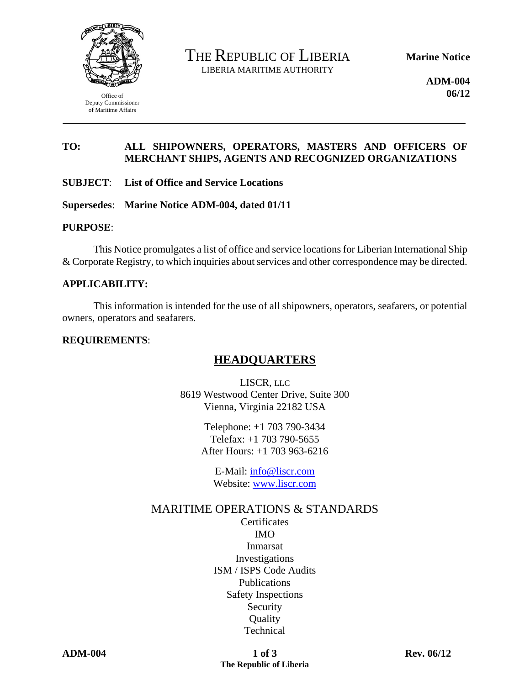

Office of Deputy Commissioner of Maritime Affairs

THE REPUBLIC OF LIBERIA LIBERIA MARITIME AUTHORITY

**Marine Notice** 

**ADM-004 06/12** 

### **TO: ALL SHIPOWNERS, OPERATORS, MASTERS AND OFFICERS OF MERCHANT SHIPS, AGENTS AND RECOGNIZED ORGANIZATIONS**

#### **SUBJECT**: **List of Office and Service Locations**

**Supersedes**: **Marine Notice ADM-004, dated 01/11** 

#### **PURPOSE**:

This Notice promulgates a list of office and service locations for Liberian International Ship & Corporate Registry, to which inquiries about services and other correspondence may be directed.

#### **APPLICABILITY:**

This information is intended for the use of all shipowners, operators, seafarers, or potential owners, operators and seafarers.

#### **REQUIREMENTS**:

# **HEADQUARTERS**

 LISCR, LLC 8619 Westwood Center Drive, Suite 300 Vienna, Virginia 22182 USA

> Telephone: +1 703 790-3434 Telefax: +1 703 790-5655 After Hours: +1 703 963-6216

 E-Mail: info@liscr.com Website: www.liscr.com

### MARITIME OPERATIONS & STANDARDS

**Certificates** IMO Inmarsat Investigations ISM / ISPS Code Audits Publications Safety Inspections Security **Quality Technical**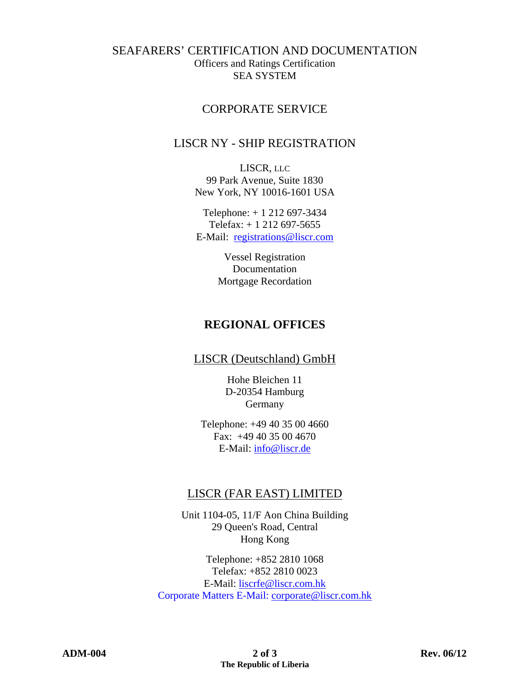## SEAFARERS' CERTIFICATION AND DOCUMENTATION Officers and Ratings Certification SEA SYSTEM

## CORPORATE SERVICE

## LISCR NY - SHIP REGISTRATION

 LISCR, LLC 99 Park Avenue, Suite 1830 New York, NY 10016-1601 USA

 Telephone: + 1 212 697-3434 Telefax: + 1 212 697-5655 E-Mail: registrations@liscr.com

> Vessel Registration Documentation Mortgage Recordation

# **REGIONAL OFFICES**

LISCR (Deutschland) GmbH

Hohe Bleichen 11 D-20354 Hamburg Germany

Telephone: +49 40 35 00 4660 Fax: +49 40 35 00 4670 E-Mail: info@liscr.de

# LISCR (FAR EAST) LIMITED

 Unit 1104-05, 11/F Aon China Building 29 Queen's Road, Central Hong Kong

 Telephone: +852 2810 1068 Telefax: +852 2810 0023 E-Mail: liscrfe@liscr.com.hk Corporate Matters E-Mail: corporate@liscr.com.hk